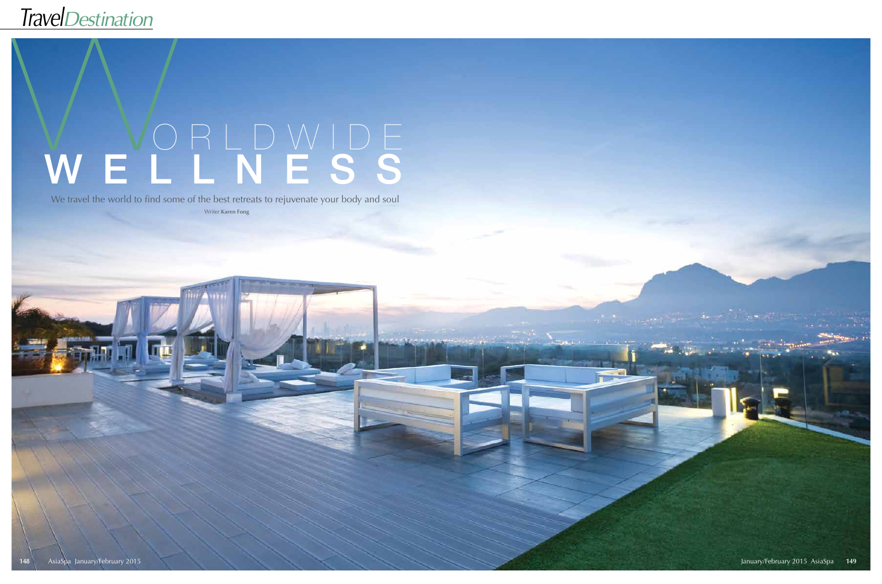# *TravelDestination*

# orldwide W E L L N E S S Travel<br>
W<br>
W<br>
E



Writer **Karen Fong**  We travel the world to find some of the best retreats to rejuvenate your body and soul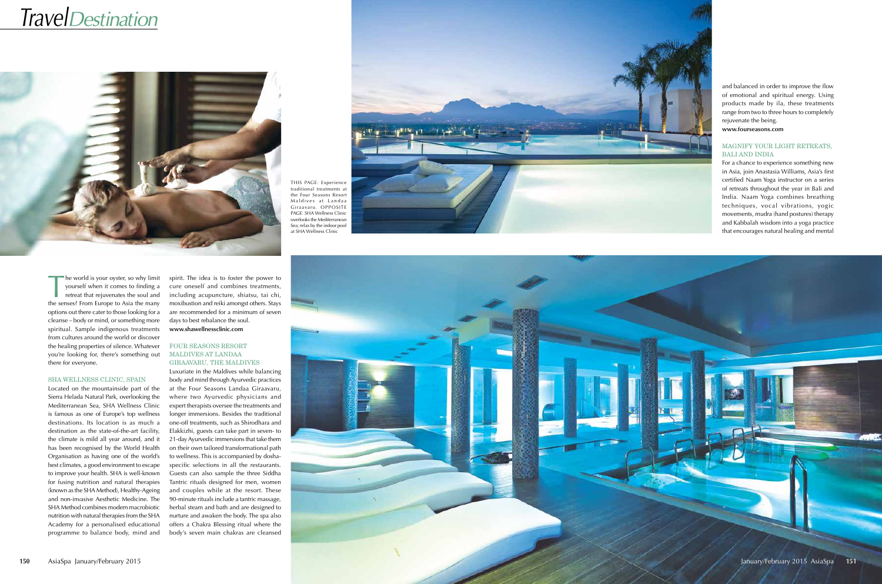### *TravelDestination*



THIS PAGE: Experience traditional treatments at the Four Seasons Resort<br>Maldives at Landaa Giraavaru. OPPOSITE<br>PAGE: SHA Wellness Clinic overlooks the Mediterranean Sea; relax by the indoor pool at S HA Wellness Clinic

The world is your oyster, so why limit<br>yourself when it comes to finding a<br>retreat that rejuvenates the soul and<br>the senses? From Europe to Asia the many yourself when it comes to finding a retreat that rejuvenates the soul and the senses? From Europe to Asia the many options out there cater to those looking for a cleanse – body or mind, or something more spiritual. Sample indigenous treatments from cultures around the world or discover the healing properties of silence. Whatever you're looking for, there's something out there for everyone.

### SHA Wellness Clini c, Spain

### FOUR SEASONS RESORT s MALDIVES AT LAND s Giraavaru, The M aldive

Located on the mountainside part of the Sierra Helada Natural Park, overlooking the Mediterranean Sea, S HA Wellness Clinic is famous as one of Europe's top wellness destinations. Its location is as much a destination as the state-of-the-art facility, the climate is mild all year around, and it has been recognised by the World Health Organisation as having one of the world's best climates, a good environment to escape to improve your health. S HA is well-known for fusing nutrition and natural therapies (known as the S HA Method), Healthy-Ageing and non-invasive Aesthetic Medicine. The S HA Method combines modern macrobiotic nutrition with natural therapies from the S HA Academy for a personalised educational programme to balance body, mind and

### MAGNIFY YOUR LIGHT RETREATS, BALI AND INDI a



spirit. The idea is to foster the power to cure oneself and combines treatments, including acupuncture, shiatsu, tai chi, moxibustion and reiki amongst others. Stays are recommended for a minimum of seven days to best rebalance the soul. **www.shawellnessclinic.com** 

Luxuriate in the Maldives while balancing body and mind through Ayurvedic practices at the Four Seasons Landaa Giraavaru, where two Ayurvedic physicians and expert therapists oversee the treatments and longer immersions. Besides the traditional one-off treatments, such as Shirodhara and Elakkizhi, guests can take part in seven- to 21-day Ayurvedic immersions that take them on their own tailored transformational path to wellness. This is accompanied by doshaspecific selections in all the restaurants. Guests can also sample the three Siddha Tantric rituals designed for men, women and couples while at the resort. These 90-minute rituals include a tantric massage, herbal steam and bath and are designed to nurture and awaken the body. The spa also offers a Chakra Blessing ritual where the body's seven main chakras are cleansed



and balanced in order to improve the flow of emotional and spiritual energy. Using products made by ila, these treatments range from two to three hours to completely rejuvenate the being.

**www.fourseasons.com**

For a chance to experience something new in Asia, join Anastasia Williams, Asia's first certified Naam Yoga instructor on a series of retreats throughout the year in Bali and India. Naam Yoga combines breathing techniques, vocal vibrations, yogic movements, mudra (hand postures) therapy and Kabbalah wisdom into a yoga practice that encourages natural healing and mental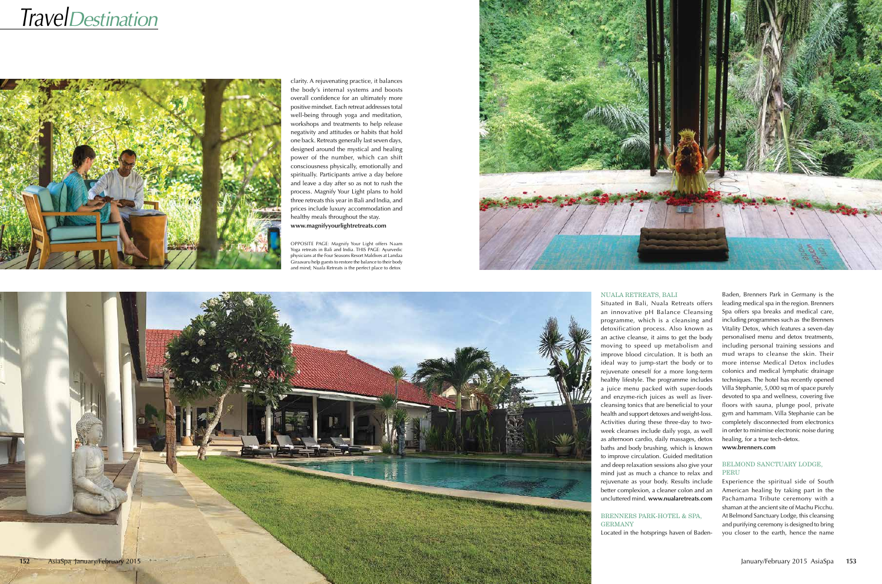

### NUALA RETREATS, BALI a a

### **GERMANY**

### *TravelDestination*



Situated in Bali, Nuala Retreats offers an innovative p H Balance Cleansing programme, which is a cleansing and detoxification process. Also known as an active cleanse, it aims to get the body moving to speed up metabolism and improve blood circulation. It is both an ideal way to jump-start the body or to rejuvenate oneself for a more long-term healthy lifestyle. The programme includes a juice menu packed with super-foods and enzyme-rich juices as well as livercleansing tonics that are beneficial to your health and support detoxes and weight-loss. Activities during these three-day to twoweek cleanses include daily yoga, as well as afternoon cardio, daily massages, detox baths and body brushing, which is known to improve circulation. Guided meditation and deep relaxation sessions also give your mind just as much a chance to relax and rejuvenate as your body. Results include better complexion, a cleaner colon and an uncluttered mind. **www.nualaretreats.com**  Brenner s Park-Hotel & Spa,

Located in the hotsprings haven of Baden-

OPPOSITE PAGE: Magnify Your Light offers Naam Yoga retreats in Bali and India. THIS PAGE: Ayurvedic physicians at the Four Seasons Resort Maldives at Landaa Giraavaru help guests to restore the balance to their body and mind; Nuala Retreats is the perfect place to detox



Baden, Brenners Park in Germany is the leading medical spa in the region. Brenners Spa offers spa breaks and medical care, including programmes such as the Brenners Vitality Detox, which features a seven-day personalised menu and detox treatments, including personal training sessions and mud wraps to cleanse the skin. Their more intense Medical Detox includes colonics and medical lymphatic drainage techniques. The hotel has recently opened Villa Stephanie, 5,000 sq m of space purely devoted to spa and wellness, covering five floors with sauna, plunge pool, private gym and hammam. Villa Stephanie can be completely disconnected from electronics in order to minimise electronic noise during healing, for a true tech-detox.

**www.brenners.com** 

### BELMOND SANCTUARY LODGE, l, **PERU**

Experience the spiritual side of South American healing by taking part in the Pachamama Tribute ceremony with a shaman at the ancient site of Machu Picchu. At Belmond Sanctuary Lodge, this cleansing and purifying ceremony is designed to bring you closer to the earth, hence the name

clarity. A rejuvenating practice, it balances the body's internal systems and boosts overall confidence for an ultimately more positive mindset. Each retreat addresses total well-being through yoga and meditation, workshops and treatments to help release negativity and attitudes or habits that hold one back. Retreats generally last seven days, designed around the mystical and healing power of the number, which can shift consciousness physically, emotionally and spiritually. Participants arrive a day before and leave a day after so as not to rush the process. Magnify Your Light plans to hold three retreats this year in Bali and India, and prices include luxury accommodation and healthy meals throughout the stay. **www.magnifyyourlightretreats.com**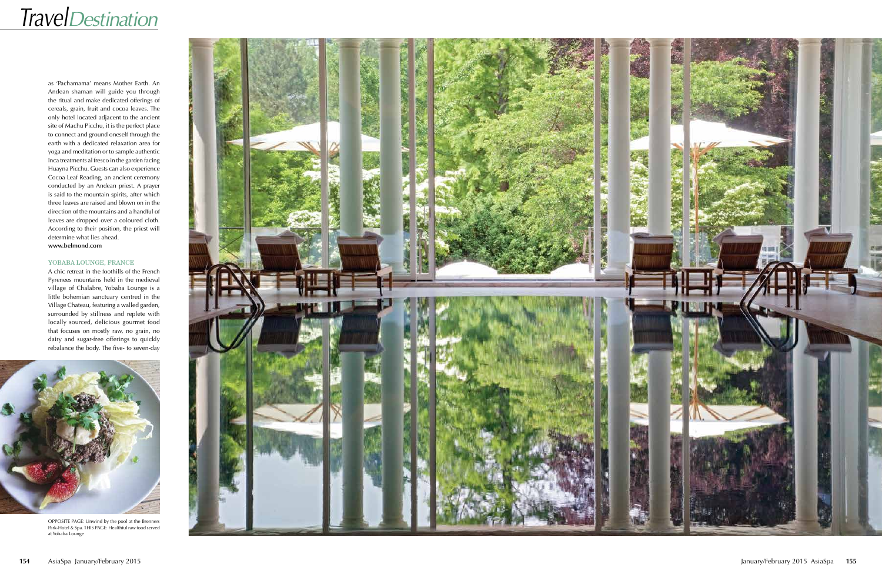as ' Pachamama' means Mother Earth. An Andean shaman will guide you through the ritual and make dedicated offerings of cereals, grain, fruit and cocoa leaves. The only hotel located adjacent to the ancient site of Machu Picchu, it is the perfect place to connect and ground oneself through the earth with a dedicated relaxation area for yoga and meditation or to sample authentic Inca treatments al fresco in the garden facing Huayna Picchu. Guests can also experience Cocoa Leaf Reading, an ancient ceremony conducted by an Andean priest. A prayer is said to the mountain spirits, after which three leaves are raised and blown on in the direction of the mountains and a handful of leaves are dropped over a coloured cloth. According to their position, the priest will determine what lies ahead. **www.belmond.com**

### YOBABA LOUNGE, FRANCE a l

A chic retreat in the foothills of the French Pyrenees mountains held in the medieval village of Chalabre, Yobaba Lounge is a little bohemian sanctuary centred in the Village Chateau, featuring a walled garden, surrounded by stillness and replete with locally sourced, delicious gourmet food that focuses on mostly raw, no grain, no dairy and sugar-free offerings to quickly rebalance the body. The five- to seven-day

# *TravelDestination*



OPPO SITE page: Unwind by the pool at the Brenners Park-Hotel & Spa. THIS PAGE: Healthful raw food served at Yobaba Lounge